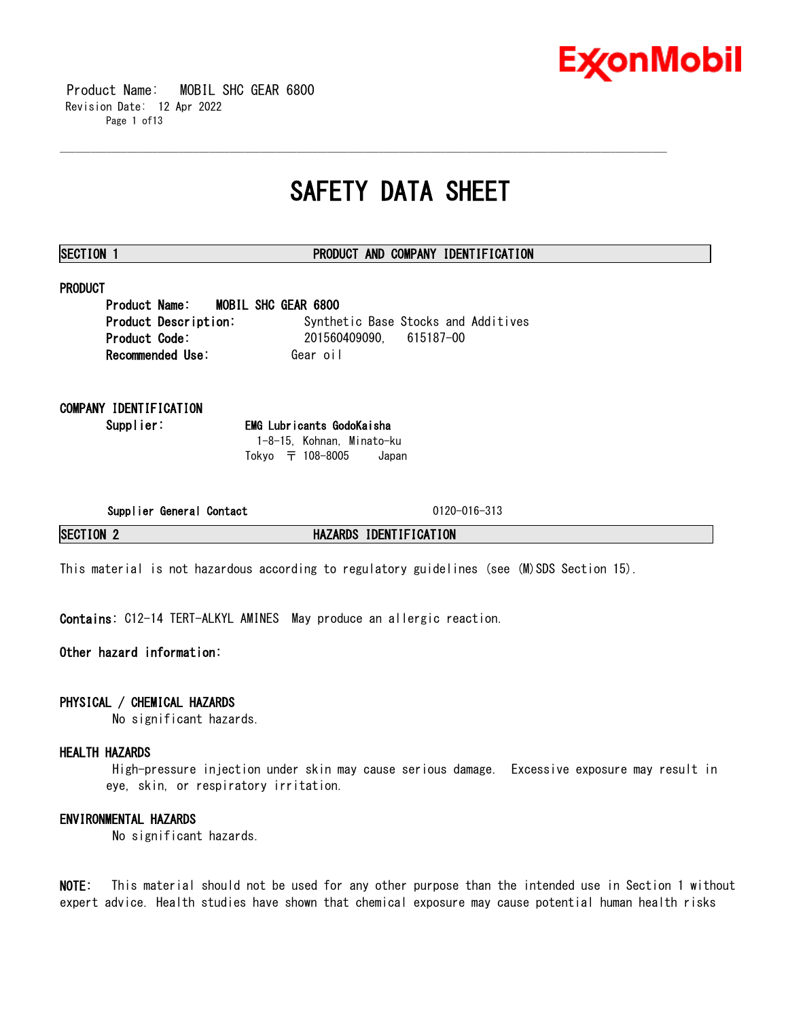

 Product Name: MOBIL SHC GEAR 6800 Revision Date: 12 Apr 2022 Page 1 of13

# **SAFETY DATA SHEET**

\_\_\_\_\_\_\_\_\_\_\_\_\_\_\_\_\_\_\_\_\_\_\_\_\_\_\_\_\_\_\_\_\_\_\_\_\_\_\_\_\_\_\_\_\_\_\_\_\_\_\_\_\_\_\_\_\_\_\_\_\_\_\_\_\_\_\_\_\_\_\_\_\_\_\_\_\_\_\_\_\_\_\_\_\_\_\_\_\_\_\_\_\_\_\_\_\_\_\_\_\_\_\_\_\_\_\_\_\_\_\_\_\_\_\_\_\_\_

# **SECTION 1 PRODUCT AND COMPANY IDENTIFICATION**

# **PRODUCT**

**Product Name: MOBIL SHC GEAR 6800 Product Description:** Synthetic Base Stocks and Additives **Product Code:** 201560409090, 615187-00 **Recommended Use:** Gear oil

# **COMPANY IDENTIFICATION**

**Supplier: EMG Lubricants GodoKaisha** 1-8-15, Kohnan, Minato-ku Tokyo 〒 108-8005 Japan

**Supplier General Contact** 0120-016-313

**SECTION 2 HAZARDS IDENTIFICATION**

This material is not hazardous according to regulatory guidelines (see (M)SDS Section 15).

**Contains:** C12-14 TERT-ALKYL AMINES May produce an allergic reaction.

**Other hazard information:**

# **PHYSICAL / CHEMICAL HAZARDS**

No significant hazards.

# **HEALTH HAZARDS**

High-pressure injection under skin may cause serious damage. Excessive exposure may result in eye, skin, or respiratory irritation.

# **ENVIRONMENTAL HAZARDS**

No significant hazards.

**NOTE:** This material should not be used for any other purpose than the intended use in Section 1 without expert advice. Health studies have shown that chemical exposure may cause potential human health risks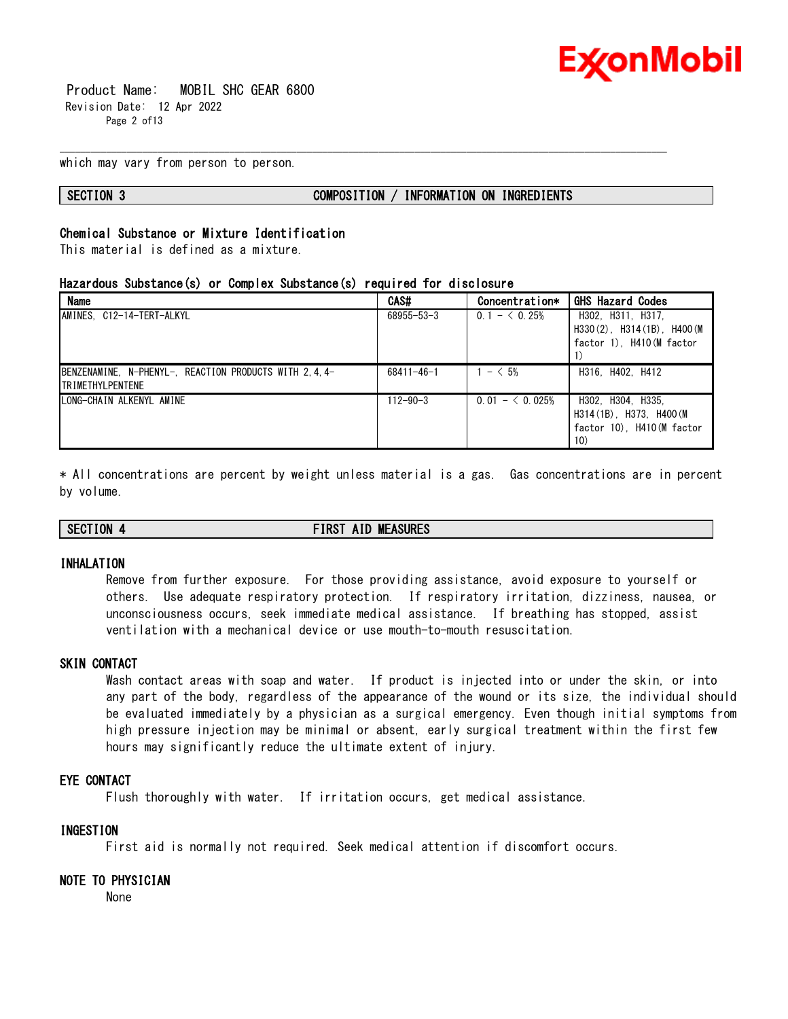

 Product Name: MOBIL SHC GEAR 6800 Revision Date: 12 Apr 2022 Page 2 of13

which may vary from person to person.

### **SECTION 3 COMPOSITION / INFORMATION ON INGREDIENTS**

# **Chemical Substance or Mixture Identification**

This material is defined as a mixture.

# **Hazardous Substance(s) or Complex Substance(s) required for disclosure**

| <b>Name</b>                                                                      | CAS#             | Concentration*  | <b>GHS Hazard Codes</b>                                                             |
|----------------------------------------------------------------------------------|------------------|-----------------|-------------------------------------------------------------------------------------|
| AMINES, C12-14-TERT-ALKYL                                                        | 68955-53-3       | $0.1 - 6.25%$   | H302, H311, H317,<br>$H330(2)$ , $H314(1B)$ , $H400(M)$<br>factor 1), H410(M factor |
| BENZENAMINE, N-PHENYL-, REACTION PRODUCTS WITH 2.4.4-<br><b>TRIMETHYLPENTENE</b> | $68411 - 46 - 1$ | $1 - 5\%$       | H316, H402, H412                                                                    |
| LONG-CHAIN ALKENYL AMINE                                                         | $112 - 90 - 3$   | $0.01 - 0.025%$ | H302, H304, H335,<br>H314 (1B) H373. H400 (M)<br>factor 10), H410 (M factor<br>10)  |

\_\_\_\_\_\_\_\_\_\_\_\_\_\_\_\_\_\_\_\_\_\_\_\_\_\_\_\_\_\_\_\_\_\_\_\_\_\_\_\_\_\_\_\_\_\_\_\_\_\_\_\_\_\_\_\_\_\_\_\_\_\_\_\_\_\_\_\_\_\_\_\_\_\_\_\_\_\_\_\_\_\_\_\_\_\_\_\_\_\_\_\_\_\_\_\_\_\_\_\_\_\_\_\_\_\_\_\_\_\_\_\_\_\_\_\_\_\_

\* All concentrations are percent by weight unless material is a gas. Gas concentrations are in percent by volume.

**SECTION 4 FIRST AID MEASURES**

# **INHALATION**

Remove from further exposure. For those providing assistance, avoid exposure to yourself or others. Use adequate respiratory protection. If respiratory irritation, dizziness, nausea, or unconsciousness occurs, seek immediate medical assistance. If breathing has stopped, assist ventilation with a mechanical device or use mouth-to-mouth resuscitation.

#### **SKIN CONTACT**

Wash contact areas with soap and water. If product is injected into or under the skin, or into any part of the body, regardless of the appearance of the wound or its size, the individual should be evaluated immediately by a physician as a surgical emergency. Even though initial symptoms from high pressure injection may be minimal or absent, early surgical treatment within the first few hours may significantly reduce the ultimate extent of injury.

# **EYE CONTACT**

Flush thoroughly with water. If irritation occurs, get medical assistance.

# **INGESTION**

First aid is normally not required. Seek medical attention if discomfort occurs.

# **NOTE TO PHYSICIAN**

None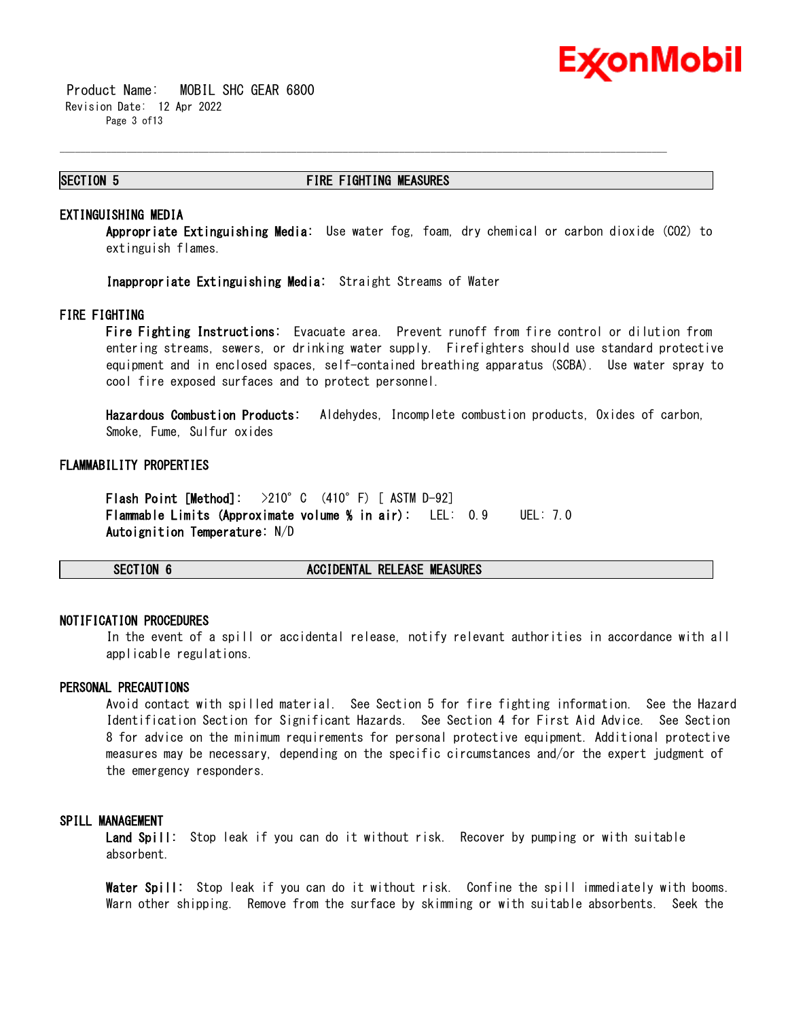

 Product Name: MOBIL SHC GEAR 6800 Revision Date: 12 Apr 2022 Page 3 of13

#### **SECTION 5 FIRE FIGHTING MEASURES**

\_\_\_\_\_\_\_\_\_\_\_\_\_\_\_\_\_\_\_\_\_\_\_\_\_\_\_\_\_\_\_\_\_\_\_\_\_\_\_\_\_\_\_\_\_\_\_\_\_\_\_\_\_\_\_\_\_\_\_\_\_\_\_\_\_\_\_\_\_\_\_\_\_\_\_\_\_\_\_\_\_\_\_\_\_\_\_\_\_\_\_\_\_\_\_\_\_\_\_\_\_\_\_\_\_\_\_\_\_\_\_\_\_\_\_\_\_\_

#### **EXTINGUISHING MEDIA**

**Appropriate Extinguishing Media:** Use water fog, foam, dry chemical or carbon dioxide (CO2) to extinguish flames.

**Inappropriate Extinguishing Media:** Straight Streams of Water

#### **FIRE FIGHTING**

**Fire Fighting Instructions:** Evacuate area. Prevent runoff from fire control or dilution from entering streams, sewers, or drinking water supply. Firefighters should use standard protective equipment and in enclosed spaces, self-contained breathing apparatus (SCBA). Use water spray to cool fire exposed surfaces and to protect personnel.

**Hazardous Combustion Products:** Aldehydes, Incomplete combustion products, Oxides of carbon, Smoke, Fume, Sulfur oxides

#### **FLAMMABILITY PROPERTIES**

**Flash Point [Method]:** >210°C (410°F) [ ASTM D-92] **Flammable Limits (Approximate volume % in air):** LEL: 0.9 UEL: 7.0 **Autoignition Temperature:** N/D

**SECTION 6 ACCIDENTAL RELEASE MEASURES**

#### **NOTIFICATION PROCEDURES**

In the event of a spill or accidental release, notify relevant authorities in accordance with all applicable regulations.

### **PERSONAL PRECAUTIONS**

Avoid contact with spilled material. See Section 5 for fire fighting information. See the Hazard Identification Section for Significant Hazards. See Section 4 for First Aid Advice. See Section 8 for advice on the minimum requirements for personal protective equipment. Additional protective measures may be necessary, depending on the specific circumstances and/or the expert judgment of the emergency responders.

### **SPILL MANAGEMENT**

**Land Spill:** Stop leak if you can do it without risk. Recover by pumping or with suitable absorbent.

**Water Spill:** Stop leak if you can do it without risk. Confine the spill immediately with booms. Warn other shipping. Remove from the surface by skimming or with suitable absorbents. Seek the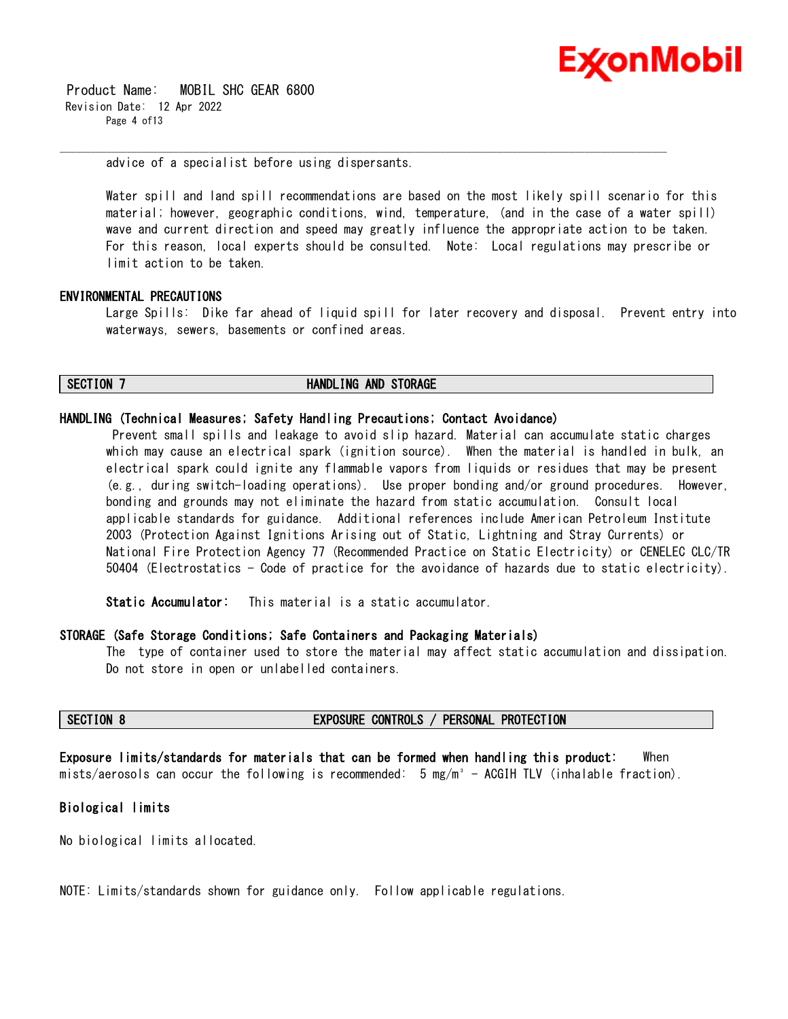

 Product Name: MOBIL SHC GEAR 6800 Revision Date: 12 Apr 2022 Page 4 of13

advice of a specialist before using dispersants.

Water spill and land spill recommendations are based on the most likely spill scenario for this material; however, geographic conditions, wind, temperature, (and in the case of a water spill) wave and current direction and speed may greatly influence the appropriate action to be taken. For this reason, local experts should be consulted. Note: Local regulations may prescribe or limit action to be taken.

\_\_\_\_\_\_\_\_\_\_\_\_\_\_\_\_\_\_\_\_\_\_\_\_\_\_\_\_\_\_\_\_\_\_\_\_\_\_\_\_\_\_\_\_\_\_\_\_\_\_\_\_\_\_\_\_\_\_\_\_\_\_\_\_\_\_\_\_\_\_\_\_\_\_\_\_\_\_\_\_\_\_\_\_\_\_\_\_\_\_\_\_\_\_\_\_\_\_\_\_\_\_\_\_\_\_\_\_\_\_\_\_\_\_\_\_\_\_

### **ENVIRONMENTAL PRECAUTIONS**

Large Spills: Dike far ahead of liquid spill for later recovery and disposal. Prevent entry into waterways, sewers, basements or confined areas.

#### **SECTION 7 HANDLING AND STORAGE**

#### **HANDLING (Technical Measures; Safety Handling Precautions; Contact Avoidance)**

Prevent small spills and leakage to avoid slip hazard. Material can accumulate static charges which may cause an electrical spark (ignition source). When the material is handled in bulk, an electrical spark could ignite any flammable vapors from liquids or residues that may be present (e.g., during switch-loading operations). Use proper bonding and/or ground procedures. However, bonding and grounds may not eliminate the hazard from static accumulation. Consult local applicable standards for guidance. Additional references include American Petroleum Institute 2003 (Protection Against Ignitions Arising out of Static, Lightning and Stray Currents) or National Fire Protection Agency 77 (Recommended Practice on Static Electricity) or CENELEC CLC/TR 50404 (Electrostatics - Code of practice for the avoidance of hazards due to static electricity).

**Static Accumulator:** This material is a static accumulator.

#### **STORAGE (Safe Storage Conditions; Safe Containers and Packaging Materials)**

The type of container used to store the material may affect static accumulation and dissipation. Do not store in open or unlabelled containers.

#### **SECTION 8 EXPOSURE CONTROLS / PERSONAL PROTECTION**

**Exposure limits/standards for materials that can be formed when handling this product:** When mists/aerosols can occur the following is recommended: 5 mg/m<sup>3</sup> - ACGIH TLV (inhalable fraction).

# **Biological limits**

No biological limits allocated.

NOTE: Limits/standards shown for guidance only. Follow applicable regulations.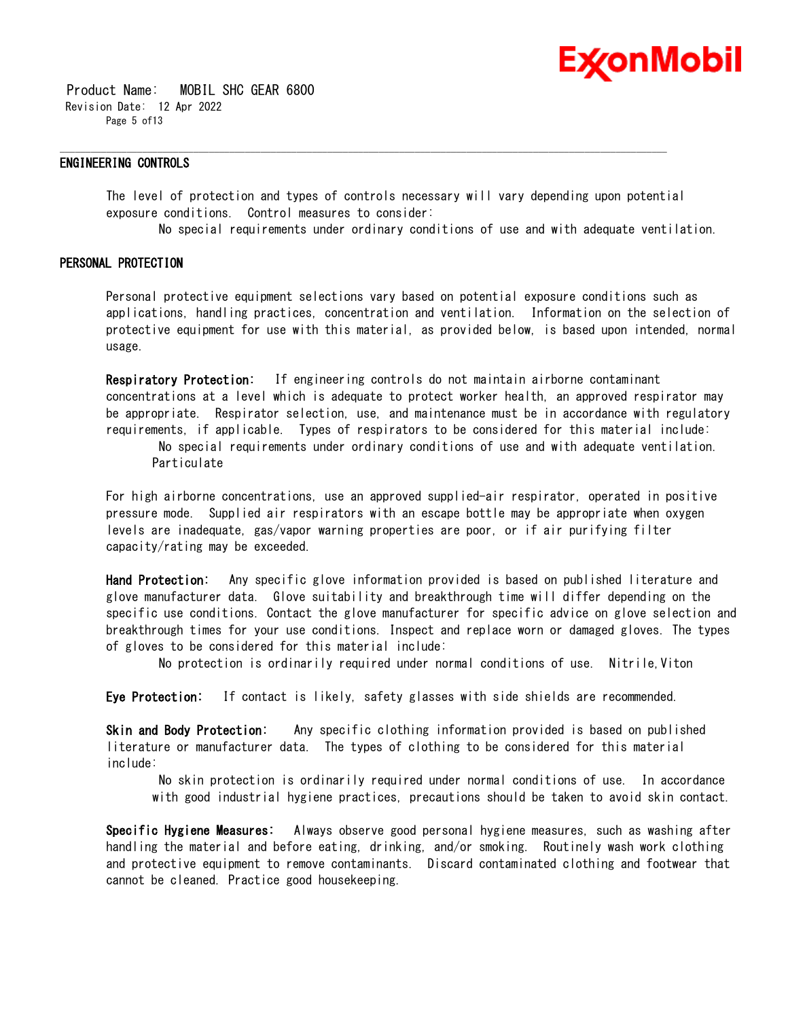

 Product Name: MOBIL SHC GEAR 6800 Revision Date: 12 Apr 2022 Page 5 of13

#### **ENGINEERING CONTROLS**

The level of protection and types of controls necessary will vary depending upon potential exposure conditions. Control measures to consider:

\_\_\_\_\_\_\_\_\_\_\_\_\_\_\_\_\_\_\_\_\_\_\_\_\_\_\_\_\_\_\_\_\_\_\_\_\_\_\_\_\_\_\_\_\_\_\_\_\_\_\_\_\_\_\_\_\_\_\_\_\_\_\_\_\_\_\_\_\_\_\_\_\_\_\_\_\_\_\_\_\_\_\_\_\_\_\_\_\_\_\_\_\_\_\_\_\_\_\_\_\_\_\_\_\_\_\_\_\_\_\_\_\_\_\_\_\_\_

No special requirements under ordinary conditions of use and with adequate ventilation.

# **PERSONAL PROTECTION**

Personal protective equipment selections vary based on potential exposure conditions such as applications, handling practices, concentration and ventilation. Information on the selection of protective equipment for use with this material, as provided below, is based upon intended, normal usage.

**Respiratory Protection:** If engineering controls do not maintain airborne contaminant concentrations at a level which is adequate to protect worker health, an approved respirator may be appropriate. Respirator selection, use, and maintenance must be in accordance with regulatory requirements, if applicable. Types of respirators to be considered for this material include: No special requirements under ordinary conditions of use and with adequate ventilation. Particulate

For high airborne concentrations, use an approved supplied-air respirator, operated in positive pressure mode. Supplied air respirators with an escape bottle may be appropriate when oxygen levels are inadequate, gas/vapor warning properties are poor, or if air purifying filter capacity/rating may be exceeded.

**Hand Protection:** Any specific glove information provided is based on published literature and glove manufacturer data. Glove suitability and breakthrough time will differ depending on the specific use conditions. Contact the glove manufacturer for specific advice on glove selection and breakthrough times for your use conditions. Inspect and replace worn or damaged gloves. The types of gloves to be considered for this material include:

No protection is ordinarily required under normal conditions of use. Nitrile,Viton

**Eye Protection:** If contact is likely, safety glasses with side shields are recommended.

**Skin and Body Protection:** Any specific clothing information provided is based on published literature or manufacturer data. The types of clothing to be considered for this material include:

No skin protection is ordinarily required under normal conditions of use. In accordance with good industrial hygiene practices, precautions should be taken to avoid skin contact.

**Specific Hygiene Measures:** Always observe good personal hygiene measures, such as washing after handling the material and before eating, drinking, and/or smoking. Routinely wash work clothing and protective equipment to remove contaminants. Discard contaminated clothing and footwear that cannot be cleaned. Practice good housekeeping.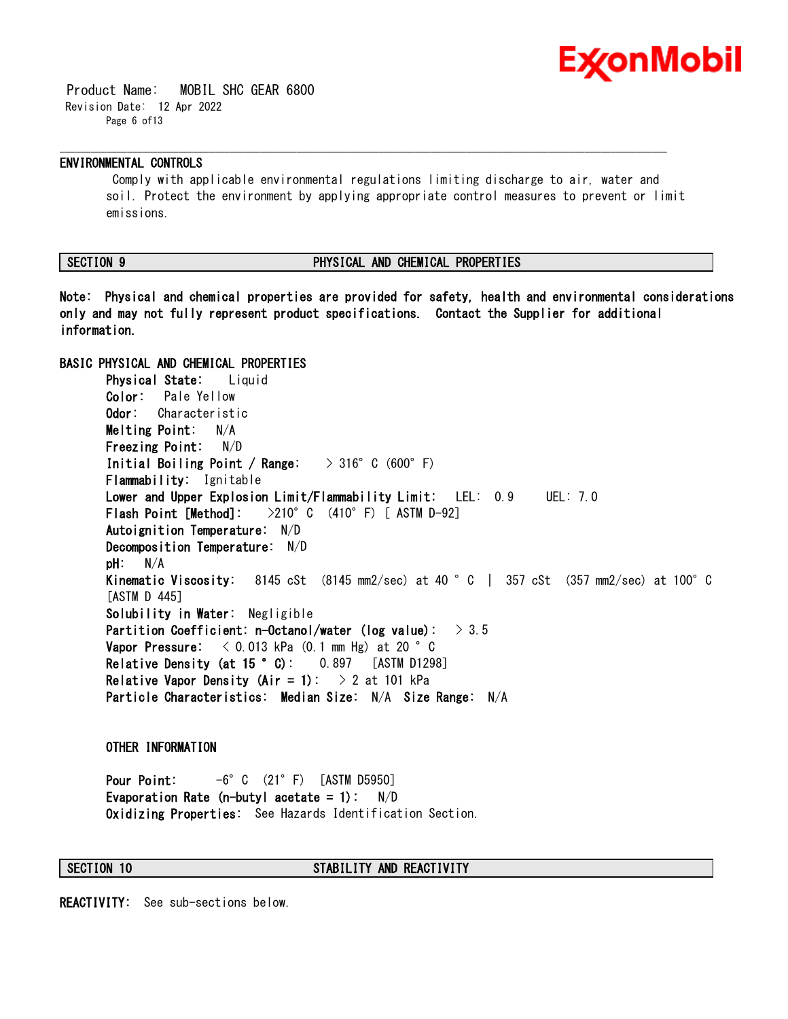

 Product Name: MOBIL SHC GEAR 6800 Revision Date: 12 Apr 2022 Page 6 of13

### **ENVIRONMENTAL CONTROLS**

Comply with applicable environmental regulations limiting discharge to air, water and soil. Protect the environment by applying appropriate control measures to prevent or limit emissions.

\_\_\_\_\_\_\_\_\_\_\_\_\_\_\_\_\_\_\_\_\_\_\_\_\_\_\_\_\_\_\_\_\_\_\_\_\_\_\_\_\_\_\_\_\_\_\_\_\_\_\_\_\_\_\_\_\_\_\_\_\_\_\_\_\_\_\_\_\_\_\_\_\_\_\_\_\_\_\_\_\_\_\_\_\_\_\_\_\_\_\_\_\_\_\_\_\_\_\_\_\_\_\_\_\_\_\_\_\_\_\_\_\_\_\_\_\_\_

#### **SECTION 9 PHYSICAL AND CHEMICAL PROPERTIES**

**Note: Physical and chemical properties are provided for safety, health and environmental considerations only and may not fully represent product specifications. Contact the Supplier for additional information.**

# **BASIC PHYSICAL AND CHEMICAL PROPERTIES**

**Physical State:** Liquid **Color:** Pale Yellow **Odor:** Characteristic **Melting Point:** N/A **Freezing Point:** N/D **Initial Boiling Point / Range:** > 316°C (600°F) **Flammability:** Ignitable **Lower and Upper Explosion Limit/Flammability Limit:** LEL: 0.9 UEL: 7.0 **Flash Point [Method]:** >210°C (410°F) [ ASTM D-92] **Autoignition Temperature:** N/D **Decomposition Temperature:** N/D **pH:** N/A **Kinematic Viscosity:** 8145 cSt (8145 mm2/sec) at 40 °C | 357 cSt (357 mm2/sec) at 100°C [ASTM D 445] **Solubility in Water:** Negligible **Partition Coefficient: n-Octanol/water (log value):** > 3.5 **Vapor Pressure:** < 0.013 kPa (0.1 mm Hg) at 20 °C **Relative Density (at 15 °C):** 0.897 [ASTM D1298] **Relative Vapor Density (Air = 1):** > 2 at 101 kPa **Particle Characteristics: Median Size:** N/A **Size Range:** N/A

#### **OTHER INFORMATION**

**Pour Point:** -6°C (21°F) [ASTM D5950] **Evaporation Rate (n-butyl acetate = 1):** N/D **Oxidizing Properties:** See Hazards Identification Section.

### **SECTION 10 STABILITY AND REACTIVITY**

**REACTIVITY:** See sub-sections below.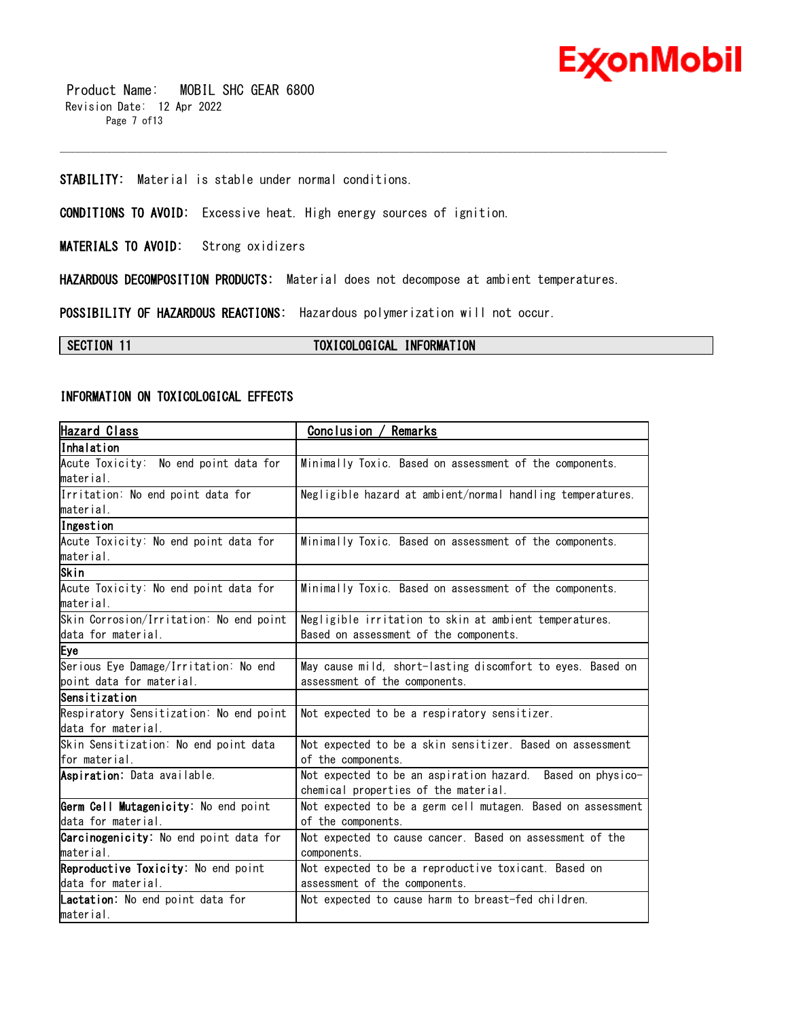

 Product Name: MOBIL SHC GEAR 6800 Revision Date: 12 Apr 2022 Page 7 of13

# **STABILITY:** Material is stable under normal conditions.

**CONDITIONS TO AVOID:** Excessive heat. High energy sources of ignition.

**MATERIALS TO AVOID:** Strong oxidizers

**HAZARDOUS DECOMPOSITION PRODUCTS:** Material does not decompose at ambient temperatures.

\_\_\_\_\_\_\_\_\_\_\_\_\_\_\_\_\_\_\_\_\_\_\_\_\_\_\_\_\_\_\_\_\_\_\_\_\_\_\_\_\_\_\_\_\_\_\_\_\_\_\_\_\_\_\_\_\_\_\_\_\_\_\_\_\_\_\_\_\_\_\_\_\_\_\_\_\_\_\_\_\_\_\_\_\_\_\_\_\_\_\_\_\_\_\_\_\_\_\_\_\_\_\_\_\_\_\_\_\_\_\_\_\_\_\_\_\_\_

**POSSIBILITY OF HAZARDOUS REACTIONS:** Hazardous polymerization will not occur.

# **SECTION 11 TOXICOLOGICAL INFORMATION**

### **INFORMATION ON TOXICOLOGICAL EFFECTS**

| <b>Hazard Class</b>                           | Conclusion / Remarks                                        |
|-----------------------------------------------|-------------------------------------------------------------|
| Inhalation                                    |                                                             |
| Acute Toxicity: No end point data for         | Minimally Toxic. Based on assessment of the components.     |
| material.                                     |                                                             |
| Irritation: No end point data for             | Negligible hazard at ambient/normal handling temperatures.  |
| material.                                     |                                                             |
| Ingestion                                     |                                                             |
| Acute Toxicity: No end point data for         | Minimally Toxic. Based on assessment of the components.     |
| material.                                     |                                                             |
| Skin                                          |                                                             |
| Acute Toxicity: No end point data for         | Minimally Toxic. Based on assessment of the components.     |
| material.                                     |                                                             |
| Skin Corrosion/Irritation: No end point       | Negligible irritation to skin at ambient temperatures.      |
| data for material.                            | Based on assessment of the components.                      |
| Eye                                           |                                                             |
| Serious Eye Damage/Irritation: No end         | May cause mild, short-lasting discomfort to eyes. Based on  |
| point data for material.                      | assessment of the components.                               |
| Sensitization                                 |                                                             |
| Respiratory Sensitization: No end point       | Not expected to be a respiratory sensitizer.                |
| data for material.                            |                                                             |
| Skin Sensitization: No end point data         | Not expected to be a skin sensitizer. Based on assessment   |
| for material.                                 | of the components.                                          |
| Aspiration: Data available.                   | Not expected to be an aspiration hazard. Based on physico-  |
|                                               | chemical properties of the material.                        |
| Germ Cell Mutagenicity: No end point          | Not expected to be a germ cell mutagen. Based on assessment |
| data for material.                            | of the components.                                          |
| <b>Carcinogenicity:</b> No end point data for | Not expected to cause cancer. Based on assessment of the    |
| material.                                     | components.                                                 |
| Reproductive Toxicity: No end point           | Not expected to be a reproductive toxicant. Based on        |
| data for material.                            | assessment of the components.                               |
| Lactation: No end point data for              | Not expected to cause harm to breast-fed children.          |
| material.                                     |                                                             |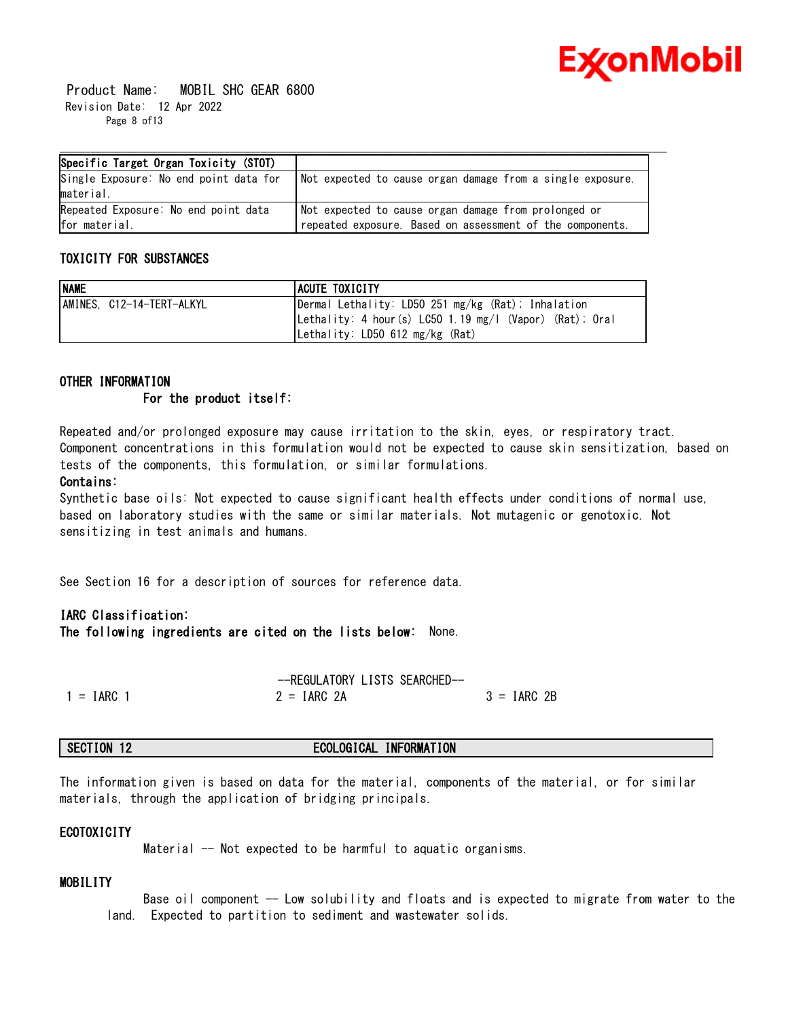

 Product Name: MOBIL SHC GEAR 6800 Revision Date: 12 Apr 2022 Page 8 of13

| Specific Target Organ Toxicity (STOT)  |                                                             |
|----------------------------------------|-------------------------------------------------------------|
| Single Exposure: No end point data for | 'Not expected to cause organ damage from a single exposure. |
| material.                              |                                                             |
| Repeated Exposure: No end point data   | Not expected to cause organ damage from prolonged or        |
| for material.                          | repeated exposure. Based on assessment of the components.   |

# **TOXICITY FOR SUBSTANCES**

| <b>NAME</b>               | <b>ACUTE TOXICITY</b>                                    |
|---------------------------|----------------------------------------------------------|
| AMINES, C12-14-TERT-ALKYL | Dermal Lethality: LD50 251 mg/kg (Rat); Inhalation       |
|                           | Lethality: 4 hour (s) LC50 1.19 mg/l (Vapor) (Rat); Oral |
|                           | Lethality: LD50 612 mg/kg (Rat)                          |

# **OTHER INFORMATION For the product itself:**

Repeated and/or prolonged exposure may cause irritation to the skin, eyes, or respiratory tract. Component concentrations in this formulation would not be expected to cause skin sensitization, based on tests of the components, this formulation, or similar formulations.

# **Contains:**

Synthetic base oils: Not expected to cause significant health effects under conditions of normal use, based on laboratory studies with the same or similar materials. Not mutagenic or genotoxic. Not sensitizing in test animals and humans.

See Section 16 for a description of sources for reference data.

# **IARC Classification:**

**The following ingredients are cited on the lists below:** None.

|              | --REGULATORY LISTS SEARCHED-- |               |
|--------------|-------------------------------|---------------|
| $1 = IARC 1$ | $2 = IARC$ 2A                 | $3 = IARC 2B$ |

# **SECTION 12 ECOLOGICAL INFORMATION**

The information given is based on data for the material, components of the material, or for similar materials, through the application of bridging principals.

# **ECOTOXICITY**

Material -- Not expected to be harmful to aquatic organisms.

# **MOBILITY**

 Base oil component -- Low solubility and floats and is expected to migrate from water to the land. Expected to partition to sediment and wastewater solids.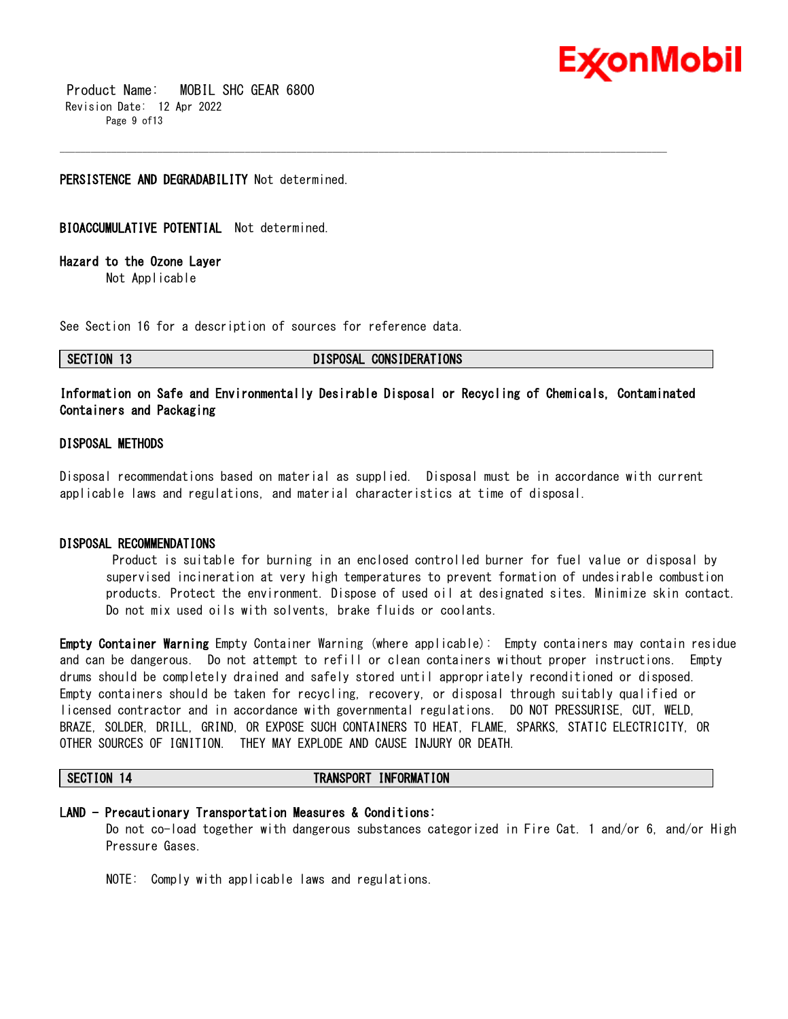

 Product Name: MOBIL SHC GEAR 6800 Revision Date: 12 Apr 2022 Page 9 of13

### **PERSISTENCE AND DEGRADABILITY** Not determined.

**BIOACCUMULATIVE POTENTIAL** Not determined.

**Hazard to the Ozone Layer** 

Not Applicable

See Section 16 for a description of sources for reference data.

**SECTION 13 DISPOSAL CONSIDERATIONS**

# **Information on Safe and Environmentally Desirable Disposal or Recycling of Chemicals, Contaminated Containers and Packaging**

\_\_\_\_\_\_\_\_\_\_\_\_\_\_\_\_\_\_\_\_\_\_\_\_\_\_\_\_\_\_\_\_\_\_\_\_\_\_\_\_\_\_\_\_\_\_\_\_\_\_\_\_\_\_\_\_\_\_\_\_\_\_\_\_\_\_\_\_\_\_\_\_\_\_\_\_\_\_\_\_\_\_\_\_\_\_\_\_\_\_\_\_\_\_\_\_\_\_\_\_\_\_\_\_\_\_\_\_\_\_\_\_\_\_\_\_\_\_

### **DISPOSAL METHODS**

Disposal recommendations based on material as supplied. Disposal must be in accordance with current applicable laws and regulations, and material characteristics at time of disposal.

#### **DISPOSAL RECOMMENDATIONS**

Product is suitable for burning in an enclosed controlled burner for fuel value or disposal by supervised incineration at very high temperatures to prevent formation of undesirable combustion products. Protect the environment. Dispose of used oil at designated sites. Minimize skin contact. Do not mix used oils with solvents, brake fluids or coolants.

**Empty Container Warning** Empty Container Warning (where applicable): Empty containers may contain residue and can be dangerous. Do not attempt to refill or clean containers without proper instructions. Empty drums should be completely drained and safely stored until appropriately reconditioned or disposed. Empty containers should be taken for recycling, recovery, or disposal through suitably qualified or licensed contractor and in accordance with governmental regulations. DO NOT PRESSURISE, CUT, WELD, BRAZE, SOLDER, DRILL, GRIND, OR EXPOSE SUCH CONTAINERS TO HEAT, FLAME, SPARKS, STATIC ELECTRICITY, OR OTHER SOURCES OF IGNITION. THEY MAY EXPLODE AND CAUSE INJURY OR DEATH.

#### **SECTION 14 TRANSPORT INFORMATION**

# **LAND - Precautionary Transportation Measures & Conditions:**

Do not co-load together with dangerous substances categorized in Fire Cat. 1 and/or 6, and/or High Pressure Gases.

NOTE: Comply with applicable laws and regulations.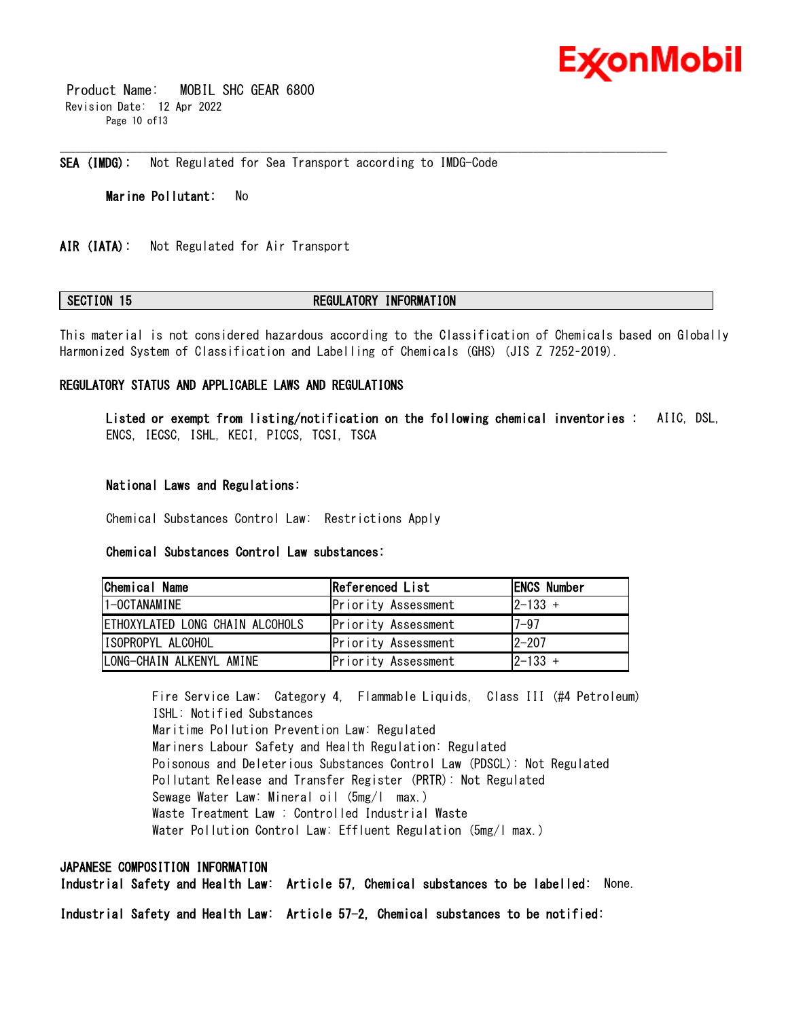

 Product Name: MOBIL SHC GEAR 6800 Revision Date: 12 Apr 2022 Page 10 of13

**SEA (IMDG):** Not Regulated for Sea Transport according to IMDG-Code

**Marine Pollutant:** No

**AIR (IATA):** Not Regulated for Air Transport

#### **SECTION 15 REGULATORY INFORMATION**

\_\_\_\_\_\_\_\_\_\_\_\_\_\_\_\_\_\_\_\_\_\_\_\_\_\_\_\_\_\_\_\_\_\_\_\_\_\_\_\_\_\_\_\_\_\_\_\_\_\_\_\_\_\_\_\_\_\_\_\_\_\_\_\_\_\_\_\_\_\_\_\_\_\_\_\_\_\_\_\_\_\_\_\_\_\_\_\_\_\_\_\_\_\_\_\_\_\_\_\_\_\_\_\_\_\_\_\_\_\_\_\_\_\_\_\_\_\_

This material is not considered hazardous according to the Classification of Chemicals based on Globally Harmonized System of Classification and Labelling of Chemicals (GHS) (JIS Z 7252–2019).

#### **REGULATORY STATUS AND APPLICABLE LAWS AND REGULATIONS**

**Listed or exempt from listing/notification on the following chemical inventories :** AIIC, DSL, ENCS, IECSC, ISHL, KECI, PICCS, TCSI, TSCA

### **National Laws and Regulations:**

Chemical Substances Control Law: Restrictions Apply

# **Chemical Substances Control Law substances:**

| <b>Chemical Name</b>            | Referenced List     | <b>IENCS Number</b> |
|---------------------------------|---------------------|---------------------|
| 1-OCTANAMINE                    | Priority Assessment | $ 2 - 133 +$        |
| ETHOXYLATED LONG CHAIN ALCOHOLS | Priority Assessment | $7 - 97$            |
| ISOPROPYL ALCOHOL               | Priority Assessment | $12 - 207$          |
| LONG-CHAIN ALKENYL AMINE        | Priority Assessment | $ 2 - 133 +$        |

Fire Service Law: Category 4, Flammable Liquids, Class III (#4 Petroleum) ISHL: Notified Substances Maritime Pollution Prevention Law: Regulated Mariners Labour Safety and Health Regulation: Regulated Poisonous and Deleterious Substances Control Law (PDSCL): Not Regulated Pollutant Release and Transfer Register (PRTR): Not Regulated Sewage Water Law: Mineral oil (5mg/l max.) Waste Treatment Law : Controlled Industrial Waste Water Pollution Control Law: Effluent Regulation (5mg/l max.)

# **JAPANESE COMPOSITION INFORMATION**

**Industrial Safety and Health Law: Article 57, Chemical substances to be labelled:** None.

**Industrial Safety and Health Law: Article 57-2, Chemical substances to be notified:**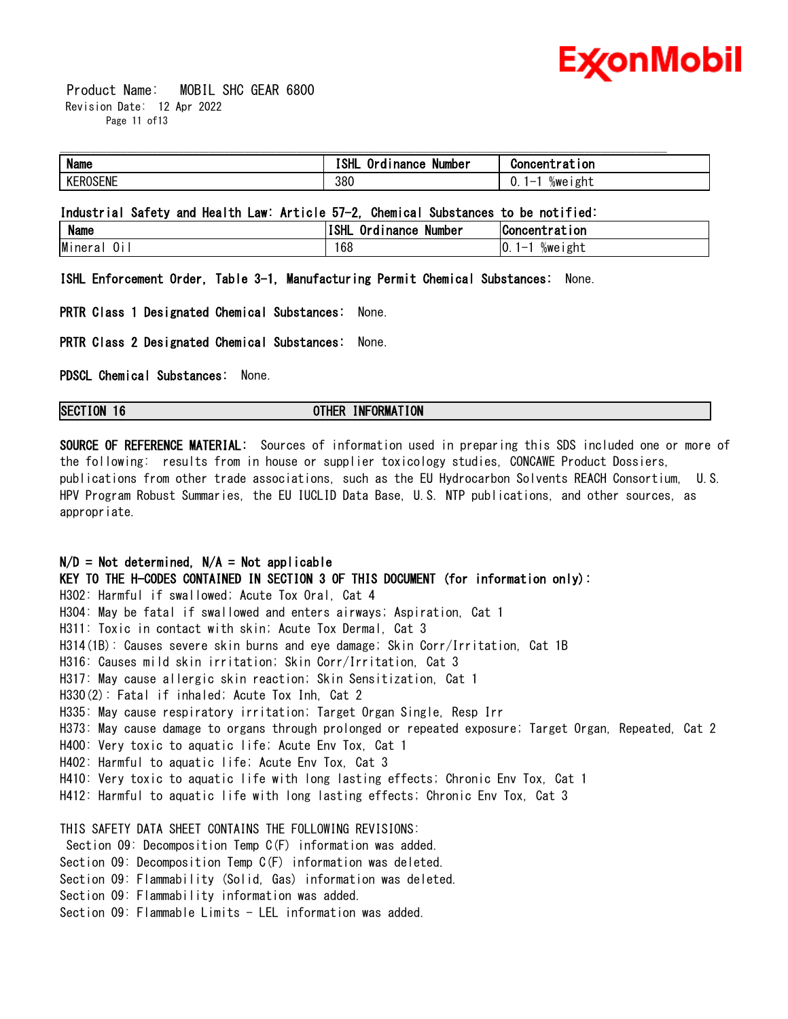

 Product Name: MOBIL SHC GEAR 6800 Revision Date: 12 Apr 2022 Page 11 of13

| <b>Name</b>   | ו והי<br>Number<br>nance<br><br>ø | 10n           |
|---------------|-----------------------------------|---------------|
| <b>ROSENE</b> | 380                               | %weıght<br>U. |

# **Industrial Safety and Health Law: Article 57-2, Chemical Substances to be notified:**

| <b>Name</b> | - -<br>'ISHL<br>Number<br>()r<br><b>Inance</b><br> | Concentration         |
|-------------|----------------------------------------------------|-----------------------|
| Minera<br>ά | 168                                                | 10.<br>%weight<br>ı — |

**ISHL Enforcement Order, Table 3-1, Manufacturing Permit Chemical Substances:** None.

**PRTR Class 1 Designated Chemical Substances:** None.

**PRTR Class 2 Designated Chemical Substances:** None.

**PDSCL Chemical Substances:** None.

### **SECTION 16 OTHER INFORMATION**

**SOURCE OF REFERENCE MATERIAL:** Sources of information used in preparing this SDS included one or more of the following: results from in house or supplier toxicology studies, CONCAWE Product Dossiers, publications from other trade associations, such as the EU Hydrocarbon Solvents REACH Consortium, U.S. HPV Program Robust Summaries, the EU IUCLID Data Base, U.S. NTP publications, and other sources, as appropriate.

# **N/D = Not determined, N/A = Not applicable**

**KEY TO THE H-CODES CONTAINED IN SECTION 3 OF THIS DOCUMENT (for information only):** H302: Harmful if swallowed; Acute Tox Oral, Cat 4 H304: May be fatal if swallowed and enters airways; Aspiration, Cat 1 H311: Toxic in contact with skin; Acute Tox Dermal, Cat 3 H314(1B): Causes severe skin burns and eye damage; Skin Corr/Irritation, Cat 1B H316: Causes mild skin irritation; Skin Corr/Irritation, Cat 3 H317: May cause allergic skin reaction; Skin Sensitization, Cat 1 H330(2): Fatal if inhaled; Acute Tox Inh, Cat 2 H335: May cause respiratory irritation; Target Organ Single, Resp Irr H373: May cause damage to organs through prolonged or repeated exposure; Target Organ, Repeated, Cat 2 H400: Very toxic to aquatic life; Acute Env Tox, Cat 1 H402: Harmful to aquatic life; Acute Env Tox, Cat 3 H410: Very toxic to aquatic life with long lasting effects; Chronic Env Tox, Cat 1 H412: Harmful to aquatic life with long lasting effects; Chronic Env Tox, Cat 3 THIS SAFETY DATA SHEET CONTAINS THE FOLLOWING REVISIONS: Section 09: Decomposition Temp C(F) information was added. Section 09: Decomposition Temp C(F) information was deleted. Section 09: Flammability (Solid, Gas) information was deleted.

Section 09: Flammability information was added.

Section 09: Flammable Limits - LEL information was added.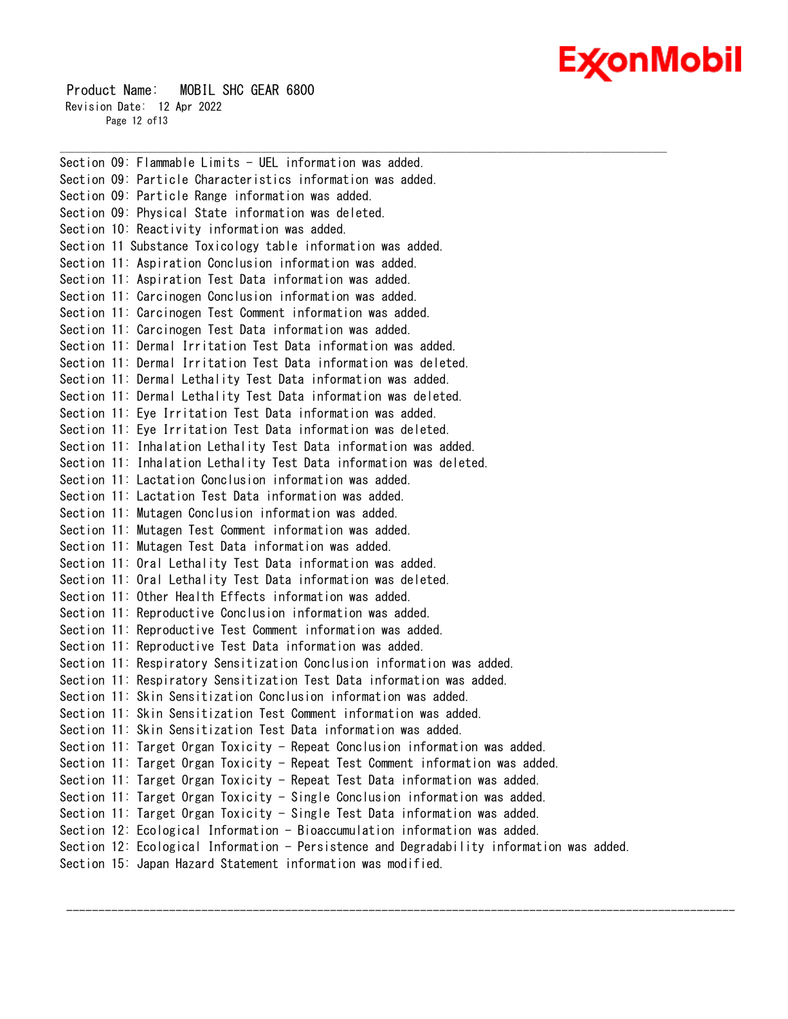# Ex⁄onMobil

 Product Name: MOBIL SHC GEAR 6800 Revision Date: 12 Apr 2022 Page 12 of13

Section 09: Flammable Limits - UEL information was added. Section 09: Particle Characteristics information was added. Section 09: Particle Range information was added. Section 09: Physical State information was deleted. Section 10: Reactivity information was added. Section 11 Substance Toxicology table information was added. Section 11: Aspiration Conclusion information was added. Section 11: Aspiration Test Data information was added. Section 11: Carcinogen Conclusion information was added. Section 11: Carcinogen Test Comment information was added. Section 11: Carcinogen Test Data information was added. Section 11: Dermal Irritation Test Data information was added. Section 11: Dermal Irritation Test Data information was deleted. Section 11: Dermal Lethality Test Data information was added. Section 11: Dermal Lethality Test Data information was deleted. Section 11: Eye Irritation Test Data information was added. Section 11: Eye Irritation Test Data information was deleted. Section 11: Inhalation Lethality Test Data information was added. Section 11: Inhalation Lethality Test Data information was deleted. Section 11: Lactation Conclusion information was added. Section 11: Lactation Test Data information was added. Section 11: Mutagen Conclusion information was added. Section 11: Mutagen Test Comment information was added. Section 11: Mutagen Test Data information was added. Section 11: Oral Lethality Test Data information was added. Section 11: Oral Lethality Test Data information was deleted. Section 11: Other Health Effects information was added. Section 11: Reproductive Conclusion information was added. Section 11: Reproductive Test Comment information was added. Section 11: Reproductive Test Data information was added. Section 11: Respiratory Sensitization Conclusion information was added. Section 11: Respiratory Sensitization Test Data information was added. Section 11: Skin Sensitization Conclusion information was added. Section 11: Skin Sensitization Test Comment information was added. Section 11: Skin Sensitization Test Data information was added. Section 11: Target Organ Toxicity - Repeat Conclusion information was added. Section 11: Target Organ Toxicity - Repeat Test Comment information was added. Section 11: Target Organ Toxicity - Repeat Test Data information was added. Section 11: Target Organ Toxicity - Single Conclusion information was added. Section 11: Target Organ Toxicity - Single Test Data information was added. Section 12: Ecological Information - Bioaccumulation information was added. Section 12: Ecological Information - Persistence and Degradability information was added. Section 15: Japan Hazard Statement information was modified.

--------------------------------------------------------------------------------------------------------

\_\_\_\_\_\_\_\_\_\_\_\_\_\_\_\_\_\_\_\_\_\_\_\_\_\_\_\_\_\_\_\_\_\_\_\_\_\_\_\_\_\_\_\_\_\_\_\_\_\_\_\_\_\_\_\_\_\_\_\_\_\_\_\_\_\_\_\_\_\_\_\_\_\_\_\_\_\_\_\_\_\_\_\_\_\_\_\_\_\_\_\_\_\_\_\_\_\_\_\_\_\_\_\_\_\_\_\_\_\_\_\_\_\_\_\_\_\_